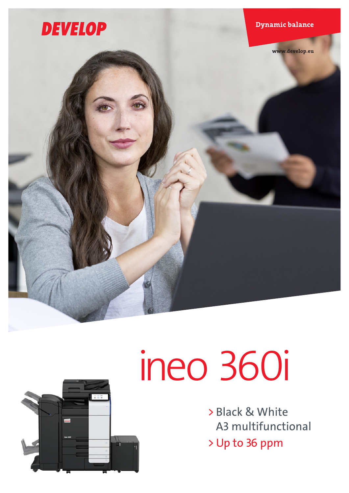



# ineo 360i

> Black & White A3 multifunctional > Up to 36 ppm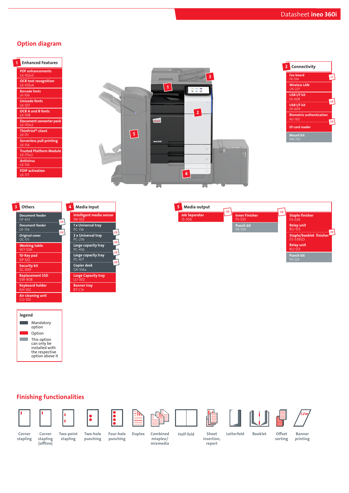# Option diagram









legend **Contract** Mandatory option Option **Contract** This option can only be installed with the respective option above it

# Finishing functionalities



Corner stapling (offline)



 $\ddot{\bullet}$ 











stapling

Two-point stapling

Two-hole punching Corner Corner Two-point Two-hole Four-hole Duplex Combined Half-fold

Duplex Combined

Sheet Letterfold Booklet

Offset sorting

Banner printing

Four-hole punching

mixplex/ mixmedia

insertion, report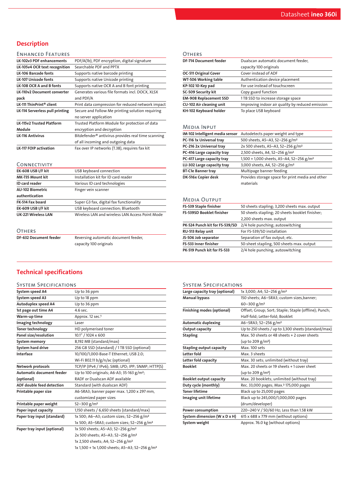# **Description**

# ENHANCED FEATURES

| <b>LK-102v3 PDF enhancements</b>   | PDF/A(1b), PDF encryption, digital signature                   |
|------------------------------------|----------------------------------------------------------------|
| LK-105v4 OCR text recognition      | Searchable PDF and PPTX                                        |
| <b>LK-106 Barcode fonts</b>        | Supports native barcode printing                               |
| <b>LK-107 Unicode fonts</b>        | Supports native Unicode printing                               |
| LK-108 OCR A and B fonts           | Supports native OCR A and B font printing                      |
| <b>LK-110v2 Document converter</b> | Generates various file formats incl. DOCX, XLSX                |
| pack                               | and PDF/A                                                      |
| LK-111 ThinPrint® client           | Print data compression for reduced network impact              |
| LK-114 Serverless pull printing    | Secure and Follow Me printing solution requiring               |
|                                    | no server application                                          |
| <b>LK-115v2 Trusted Platform</b>   | Trusted Platform Module for protection of data                 |
| Module                             | encryption and decryption                                      |
| <b>LK-116 Antivirus</b>            | Bitdefender <sup>®</sup> antivirus provides real time scanning |
|                                    | of all incoming and outgoing data                              |
| <b>LK-117 FOIP activation</b>      | Fax over IP networks (T.38), requires fax kit                  |
|                                    |                                                                |

## **CONNECTIVITY**

| EK-608 USB I/F kit         | USB keyboard connection                         |
|----------------------------|-------------------------------------------------|
| MK-735 Mount kit           | Installation kit for ID card reader             |
| <b>ID</b> card reader      | Various ID card technologies                    |
| <b>AU-102 Biometric</b>    | Finger vein scanner                             |
| authentication             |                                                 |
| FK-514 Fax board           | Super G3 fax, digital fax functionality         |
| EK-609 USB I/F kit         | USB keyboard connection; Bluetooth              |
| <b>UK-221 Wireless LAN</b> | Wireless LAN and wireless LAN Access Point Mode |

OTHERS<br>DF-632 Document feeder

Reversing automatic document feeder, capacity 100 originals

| <b>OTHERS</b>                 |                                                  |
|-------------------------------|--------------------------------------------------|
| <b>DF-714 Document feeder</b> | Dualscan automatic document feeder,              |
|                               | capacity 100 originals                           |
| OC-511 Original Cover         | Cover instead of ADF                             |
| WT-506 Working table          | Authentication device placement                  |
| KP-102 10-Key pad             | For use instead of touchscreen                   |
| SC-509 Security kit           | Copy guard function                              |
| <b>EM-908 Replacement SSD</b> | 1TB SSD to increase storage space                |
| CU-102 Air cleaning unit      | Improving indoor air quality by reduced emission |
| KH-102 Keyboard holder        | To place USB keyboard                            |

## Media Input

| IM-102 Intelligent media sensor | Autodetects paper weight and type                    |
|---------------------------------|------------------------------------------------------|
| PC-116 1x Universal tray        | 500 sheets, A5-A3, 52-256 g/m <sup>2</sup>           |
| PC-216 2x Universal tray        | 2x 500 sheets, A5-A3, 52-256 g/m <sup>2</sup>        |
| PC-416 Large capacity tray      | 2,500 sheets, A4, 52-256 g/m <sup>2</sup>            |
| PC-417 Large capacity tray      | 1,500 + 1,000 sheets, A5-A4, 52-256 g/m <sup>2</sup> |
| LU-302 Large capacity tray      | 3,000 sheets, A4, 52-256 g/m <sup>2</sup>            |
| <b>BT-C1e Banner tray</b>       | Multipage banner feeding                             |
| DK-516x Copier desk             | Provides storage space for print media and other     |
|                                 | materials                                            |

# Media Output

| FS-539 Staple finisher         | 50 sheets stapling; 3,200 sheets max. output    |
|--------------------------------|-------------------------------------------------|
| FS-539SD Booklet finisher      | 50 sheets stapling; 20 sheets booklet finisher; |
|                                | 2,200 sheets max. output                        |
| PK-524 Punch kit for FS-539/SD | 2/4 hole punching; autoswitching                |
| RU-513 Relay unit              | For FS-539/SD installation                      |
| JS-506 Job separator           | Separation of fax output; etc.                  |
| FS-533 Inner finisher          | 50-sheet stapling, 500 sheets max. output       |
| PK-519 Punch kit for FS-533    | 2/4 hole punching, autoswitching                |

# Technical specifications

| <b>SYSTEM SPECIFICATIONS</b>     |                                                            |
|----------------------------------|------------------------------------------------------------|
| System speed A4                  | Up to 36 ppm                                               |
| System speed A3                  | Up to 18 ppm                                               |
| Autoduplex speed A4              | Up to 36 ppm                                               |
| 1st page out time A4             | 4.6 sec.                                                   |
| Warm-up time                     | Approx. 12 sec. <sup>1</sup>                               |
| Imaging technology               | Laser                                                      |
| <b>Toner technology</b>          | HD polymerised toner                                       |
| Panel size/resolution            | 10.1" / 1024 x 600                                         |
| System memory                    | 8,192 MB (standard/max)                                    |
| System hard drive                | 256 GB SSD (standard) / 1TB SSD (optional)                 |
| Interface                        | 10/100/1,000-Base-T Ethernet; USB 2.0;                     |
|                                  | Wi-Fi 802.11 b/g/n/ac (optional)                           |
| Network protocols                | TCP/IP (IPv4 / IPv6); SMB; LPD; IPP; SNMP; HTTP(S)         |
| Automatic document feeder        | Up to 100 originals; A6-A3; 35-163 g/m <sup>2</sup> ;      |
| (optional)                       | <b>RADF or Dualscan ADF available</b>                      |
| <b>ADF double feed detection</b> | Standard (with dualscan ADF)                               |
| Printable paper size             | A6-SRA3; banner paper max. 1,200 x 297 mm,                 |
|                                  | customized paper sizes                                     |
| Printable paper weight           | $52 - 300$ g/m <sup>2</sup>                                |
| Paper input capacity             | 1,150 sheets / 6,650 sheets (standard/max)                 |
| Paper tray input (standard)      | 1x 500; A6-A3; custom sizes; 52-256 g/m <sup>2</sup>       |
|                                  | 1x 500; A5-SRA3; custom sizes; 52-256 g/m <sup>2</sup>     |
| Paper tray input (optional)      | 1x 500 sheets; A5-A3; 52-256 g/m <sup>2</sup>              |
|                                  | 2x 500 sheets; A5-A3; 52-256 g/m <sup>2</sup>              |
|                                  | 1x 2,500 sheets; A4; 52-256 g/m <sup>2</sup>               |
|                                  | 1x 1,500 + 1x 1,000 sheets; A5-A3; 52-256 g/m <sup>2</sup> |

# System Specifications

| Large capacity tray (optional)  | 1x 3,000; A4; 52-256 g/m <sup>2</sup>                 |
|---------------------------------|-------------------------------------------------------|
| <b>Manual bypass</b>            | 150 sheets; A6-SRA3; custom sizes, banner;            |
|                                 | 60-300 g/m <sup>2</sup>                               |
| Finishing modes (optional)      | Offset; Group; Sort; Staple; Staple (offline); Punch; |
|                                 | Half-fold; Letter-fold; Booklet                       |
| <b>Automatic duplexing</b>      | A6-SRA3; 52-256 g/m <sup>2</sup>                      |
| Output capacity                 | Up to 250 sheets / up to 3,300 sheets (standard/max)  |
| <b>Stapling</b>                 | Max. 50 sheets or 48 sheets + 2 cover sheets          |
|                                 | (up to 209 g/m <sup>2</sup> )                         |
| <b>Stapling output capacity</b> | Max. 100 sets                                         |
| Letter fold                     | Max. 3 sheets                                         |
| Letter fold capacity            | Max. 30 sets; unlimited (without tray)                |
| <b>Booklet</b>                  | Max. 20 sheets or 19 sheets +1 cover sheet            |
|                                 | (up to 209 g/m <sup>2</sup> )                         |
| <b>Booklet output capacity</b>  | Max. 20 booklets; unlimited (without tray)            |
| Duty cycle (monthly)            | Rec. 33,000 pages; Max. <sup>2</sup> 175,000 pages    |
| <b>Toner lifetime</b>           | Black up to 25,000 pages                              |
| Imaging unit lifetime           | Black up to 245,000/1,000,000 pages                   |
|                                 | (drum/developer)                                      |
| Power consumption               | 220-240 V / 50/60 Hz; Less than 1.58 kW               |
| System dimension (W x D x H)    | 615 x 688 x 779 mm (without options)                  |
| System weight                   | Approx. 76.0 kg (without options)                     |